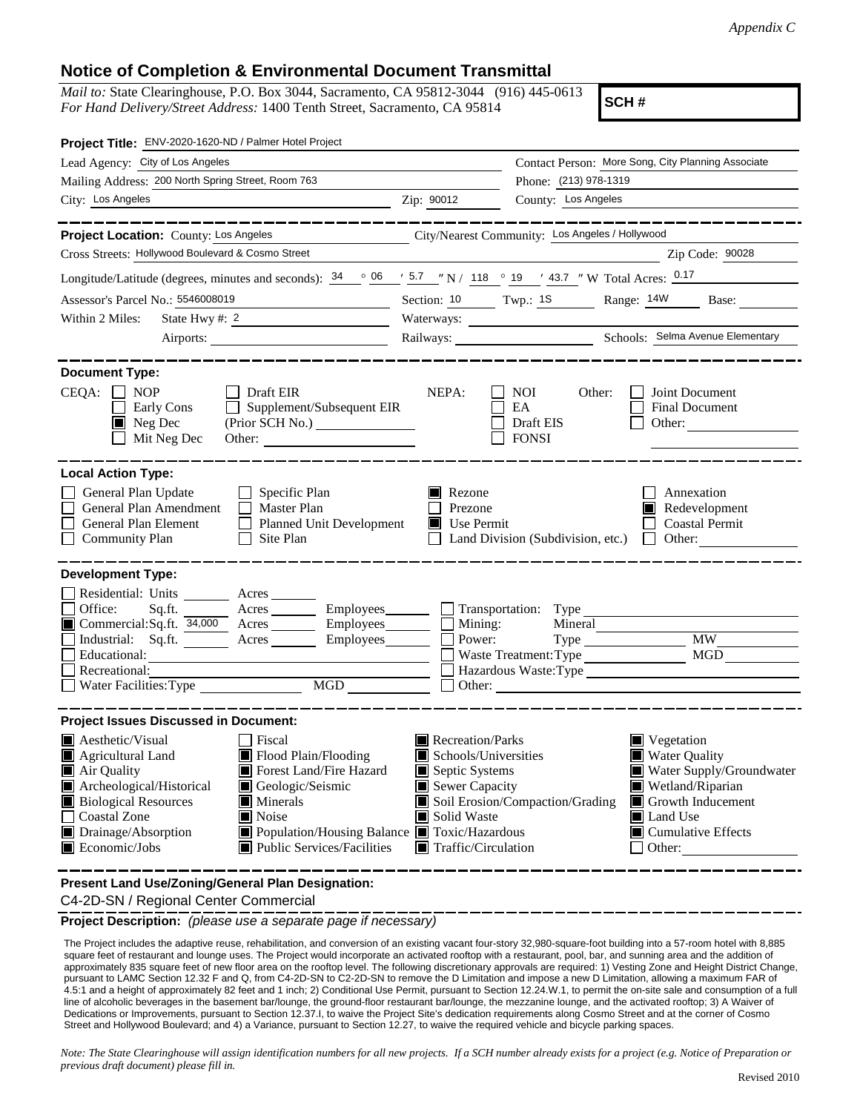## **Notice of Completion & Environmental Document Transmittal**

*Mail to:* State Clearinghouse, P.O. Box 3044, Sacramento, CA 95812-3044 (916) 445-0613 *For Hand Delivery/Street Address:* 1400 Tenth Street, Sacramento, CA 95814

**SCH #**

|                                                                                                                                                                                                                   | Contact Person: More Song, City Planning Associate                                                                                                                                                                                                                                |
|-------------------------------------------------------------------------------------------------------------------------------------------------------------------------------------------------------------------|-----------------------------------------------------------------------------------------------------------------------------------------------------------------------------------------------------------------------------------------------------------------------------------|
|                                                                                                                                                                                                                   | Phone: (213) 978-1319                                                                                                                                                                                                                                                             |
| Zip: 90012<br><u> 1989 - Johann Barn, fransk politik (d. 1989)</u>                                                                                                                                                | County: Los Angeles                                                                                                                                                                                                                                                               |
|                                                                                                                                                                                                                   | _________                                                                                                                                                                                                                                                                         |
|                                                                                                                                                                                                                   | City/Nearest Community: Los Angeles / Hollywood                                                                                                                                                                                                                                   |
|                                                                                                                                                                                                                   | Zip Code: 90028                                                                                                                                                                                                                                                                   |
|                                                                                                                                                                                                                   | Longitude/Latitude (degrees, minutes and seconds): $\frac{34}{9}$ $\frac{06}{9}$ $\frac{15.7}{9}$ $\frac{118}{9}$ $\frac{019}{118}$ $\frac{13.7}{118}$ $\frac{13.7}{118}$ $\frac{13.7}{118}$ $\frac{13.7}{118}$ $\frac{13.7}{118}$ $\frac{13.7}{118}$ $\frac{13.7}{118}$ $\frac{$ |
| <u> 1990 - Johann Barbara, politik politik (</u>                                                                                                                                                                  | Section: 10 Twp.: 18 Range: 14W Base:                                                                                                                                                                                                                                             |
| State Hwy #: $2$                                                                                                                                                                                                  |                                                                                                                                                                                                                                                                                   |
| Airports:                                                                                                                                                                                                         |                                                                                                                                                                                                                                                                                   |
| NEPA:<br>$\Box$ Supplement/Subsequent EIR<br>(Prior SCH No.)<br>Other:                                                                                                                                            | Joint Document<br>NOI -<br>Other:<br>EA<br>Final Document<br>Draft EIS<br>Other:<br><b>FONSI</b>                                                                                                                                                                                  |
| $\blacksquare$ Rezone<br>Prezone<br>Planned Unit Development<br>Use Permit                                                                                                                                        | Annexation<br>$\blacksquare$ Redevelopment<br><b>Coastal Permit</b><br>Land Division (Subdivision, etc.) $\Box$ Other:                                                                                                                                                            |
| Mining:<br>Commercial:Sq.ft. 34,000 Acres Employees<br>Industrial: Sq.ft. _______ Acres _______ Employees_______<br>Power:<br>Water Facilities: Type MGD                                                          | Sq.ft. ________ Acres _________ Employees _______ __ Transportation: Type ___________<br>Mineral<br><b>MW</b><br>MGD<br>Waste Treatment: Type<br>Hazardous Waste:Type<br>$\Box$ Other:                                                                                            |
| Recreation/Parks<br>Schools/Universities<br>Septic Systems<br>Sewer Capacity<br>Solid Waste<br>■ Population/Housing Balance ■ Toxic/Hazardous<br>Public Services/Facilities<br>$\blacksquare$ Traffic/Circulation | $\blacksquare$ Vegetation<br><b>Water Quality</b><br>Water Supply/Groundwater<br>Wetland/Riparian<br>Soil Erosion/Compaction/Grading<br>Growth Inducement<br>Land Use<br>$\blacksquare$ Cumulative Effects<br>Other:                                                              |
|                                                                                                                                                                                                                   |                                                                                                                                                                                                                                                                                   |

**Present Land Use/Zoning/General Plan Designation:**

C4-2D-SN / Regional Center Commercial

**Project Description:** *(please use a separate page if necessary)*

The Project includes the adaptive reuse, rehabilitation, and conversion of an existing vacant four-story 32,980-square-foot building into a 57-room hotel with 8,885 square feet of restaurant and lounge uses. The Project would incorporate an activated rooftop with a restaurant, pool, bar, and sunning area and the addition of approximately 835 square feet of new floor area on the rooftop level. The following discretionary approvals are required: 1) Vesting Zone and Height District Change, pursuant to LAMC Section 12.32 F and Q, from C4-2D-SN to C2-2D-SN to remove the D Limitation and impose a new D Limitation, allowing a maximum FAR of 4.5:1 and a height of approximately 82 feet and 1 inch; 2) Conditional Use Permit, pursuant to Section 12.24.W.1, to permit the on-site sale and consumption of a full line of alcoholic beverages in the basement bar/lounge, the ground-floor restaurant bar/lounge, the mezzanine lounge, and the activated rooftop; 3) A Waiver of Dedications or Improvements, pursuant to Section 12.37.I, to waive the Project Site's dedication requirements along Cosmo Street and at the corner of Cosmo Street and Hollywood Boulevard; and 4) a Variance, pursuant to Section 12.27, to waive the required vehicle and bicycle parking spaces.

*Note: The State Clearinghouse will assign identification numbers for all new projects. If a SCH number already exists for a project (e.g. Notice of Preparation or previous draft document) please fill in.*